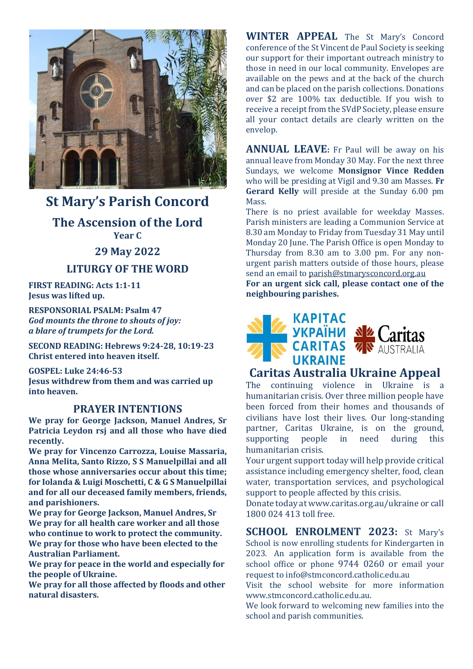

# **St Mary's Parish Concord**

**The Ascension of the Lord Year C**

#### **29 May 2022**

### **LITURGY OF THE WORD**

**FIRST READING: Acts 1:1-11 Jesus was lifted up.**

**RESPONSORIAL PSALM: Psalm 47** *God mounts the throne to shouts of joy: a blare of trumpets for the Lord.*

**SECOND READING: Hebrews 9:24-28, 10:19-23 Christ entered into heaven itself.**

**GOSPEL: Luke 24:46-53 Jesus withdrew from them and was carried up into heaven.**

#### **PRAYER INTENTIONS**

**We pray for George Jackson, Manuel Andres, Sr Patricia Leydon rsj and all those who have died recently.**

**We pray for Vincenzo Carrozza, Louise Massaria, Anna Melita, Santo Rizzo, S S Manuelpillai and all those whose anniversaries occur about this time; for Iolanda & Luigi Moschetti, C & G S Manuelpillai and for all our deceased family members, friends, and parishioners.**

**We pray for George Jackson, Manuel Andres, Sr We pray for all health care worker and all those who continue to work to protect the community. We pray for those who have been elected to the Australian Parliament.**

**We pray for peace in the world and especially for the people of Ukraine.**

**We pray for all those affected by floods and other natural disasters.**

**WINTER APPEAL** The St Mary's Concord conference of the St Vincent de Paul Society is seeking our support for their important outreach ministry to those in need in our local community. Envelopes are available on the pews and at the back of the church and can be placed on the parish collections. Donations over \$2 are 100% tax deductible. If you wish to receive a receipt from the SVdP Society, please ensure all your contact details are clearly written on the envelop.

**ANNUAL LEAVE:** Fr Paul will be away on his annual leave from Monday 30 May. For the next three Sundays, we welcome **Monsignor Vince Redden** who will be presiding at Vigil and 9.30 am Masses. **Fr Gerard Kelly** will preside at the Sunday 6.00 pm Mass.

There is no priest available for weekday Masses. Parish ministers are leading a Communion Service at 8.30 am Monday to Friday from Tuesday 31 May until Monday 20 June. The Parish Office is open Monday to Thursday from 8.30 am to 3.00 pm. For any nonurgent parish matters outside of those hours, please send an email to [parish@stmarysconcord.org.au](mailto:parish@stmarysconcord.org.au)

**For an urgent sick call, please contact one of the neighbouring parishes.**



### **Caritas Australia Ukraine Appeal**

The continuing violence in Ukraine is a humanitarian crisis. Over three million people have been forced from their homes and thousands of civilians have lost their lives. Our long-standing partner, Caritas Ukraine, is on the ground, supporting people in need during this humanitarian crisis.

Your urgent support today will help provide critical assistance including emergency shelter, food, clean water, transportation services, and psychological support to people affected by this crisis.

Donate today at www.caritas.org.au/ukraine or call 1800 024 413 toll free.

**SCHOOL ENROLMENT 2023:** St Mary's School is now enrolling students for Kindergarten in 2023. An application form is available from the school office or phone 9744 0260 or email your request to [info@stmconcord.catholic.edu.au](mailto:info@stmconcord.catholic.edu.au)

Visit the school website for more information [www.stmconcord.catholic.edu.au.](http://www.stmconcord.catholic.edu.au/)

We look forward to welcoming new families into the school and parish communities.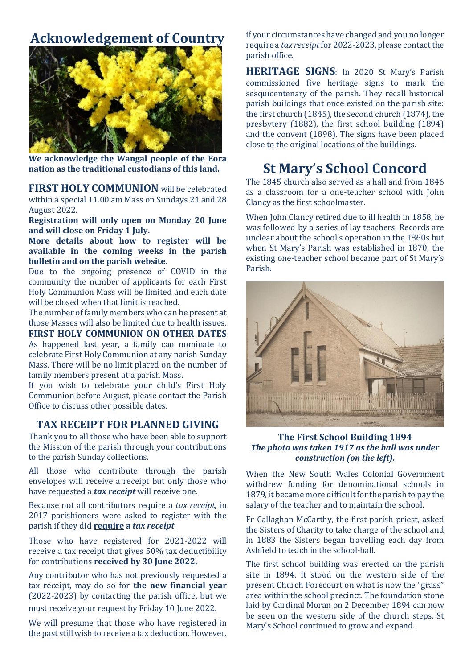## **Acknowledgement of Country**



**We acknowledge the Wangal people of the Eora nation as the traditional custodians of this land.**

**FIRST HOLY COMMUNION** will be celebrated within a special 11.00 am Mass on Sundays 21 and 28 August 2022.

**Registration will only open on Monday 20 June and will close on Friday 1 July.**

**More details about how to register will be available in the coming weeks in the parish bulletin and on the parish website.**

Due to the ongoing presence of COVID in the community the number of applicants for each First Holy Communion Mass will be limited and each date will be closed when that limit is reached.

The number of family members who can be present at those Masses will also be limited due to health issues.

**FIRST HOLY COMMUNION ON OTHER DATES** As happened last year, a family can nominate to celebrate First Holy Communion at any parish Sunday Mass. There will be no limit placed on the number of family members present at a parish Mass.

If you wish to celebrate your child's First Holy Communion before August, please contact the Parish Office to discuss other possible dates.

#### **TAX RECEIPT FOR PLANNED GIVING**

Thank you to all those who have been able to support the Mission of the parish through your contributions to the parish Sunday collections.

All those who contribute through the parish envelopes will receive a receipt but only those who have requested a *tax receipt* will receive one.

Because not all contributors require a *tax receipt*, in 2017 parishioners were asked to register with the parish if they did **require a** *tax receipt*.

Those who have registered for 2021-2022 will receive a tax receipt that gives 50% tax deductibility for contributions **received by 30 June 2022.**

Any contributor who has not previously requested a tax receipt, may do so for **the new financial year** (2022-2023) by contacting the parish office, but we must receive your request by Friday 10 June 2022.

We will presume that those who have registered in the past still wish to receive a tax deduction. However,

if your circumstances have changed and you no longer require a *tax receipt*for 2022-2023, please contact the parish office.

**HERITAGE SIGNS**: In 2020 St Mary's Parish commissioned five heritage signs to mark the sesquicentenary of the parish. They recall historical parish buildings that once existed on the parish site: the first church (1845), the second church (1874), the presbytery (1882), the first school building (1894) and the convent (1898). The signs have been placed close to the original locations of the buildings.

# **St Mary's School Concord**

The 1845 church also served as a hall and from 1846 as a classroom for a one-teacher school with John Clancy as the first schoolmaster.

When John Clancy retired due to ill health in 1858, he was followed by a series of lay teachers. Records are unclear about the school's operation in the 1860s but when St Mary's Parish was established in 1870, the existing one-teacher school became part of St Mary's Parish.



**The First School Building 1894** *The photo was taken 1917 as the hall was under construction (on the left).*

When the New South Wales Colonial Government withdrew funding for denominational schools in 1879, it became more difficult for the parish to pay the salary of the teacher and to maintain the school.

Fr Callaghan McCarthy, the first parish priest, asked the Sisters of Charity to take charge of the school and in 1883 the Sisters began travelling each day from Ashfield to teach in the school-hall.

The first school building was erected on the parish site in 1894. It stood on the western side of the present Church Forecourt on what is now the "grass" area within the school precinct. The foundation stone laid by Cardinal Moran on 2 December 1894 can now be seen on the western side of the church steps. St Mary's School continued to grow and expand.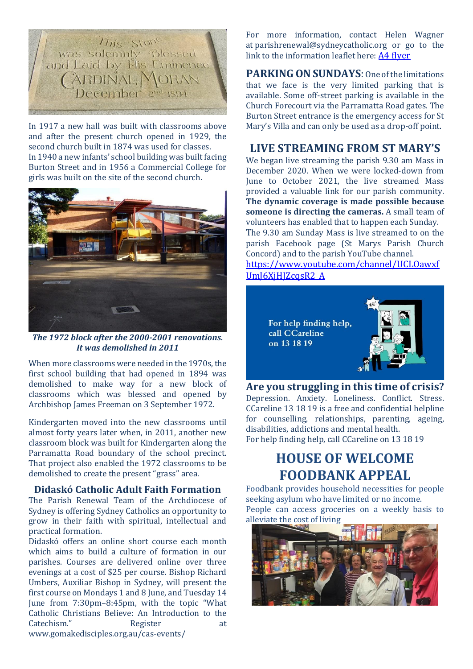

In 1917 a new hall was built with classrooms above and after the present church opened in 1929, the second church built in 1874 was used for classes. In 1940 a new infants' school building was built facing Burton Street and in 1956 a Commercial College for girls was built on the site of the second church.



*The 1972 block after the 2000-2001 renovations. It was demolished in 2011*

When more classrooms were needed in the 1970s, the first school building that had opened in 1894 was demolished to make way for a new block of classrooms which was blessed and opened by Archbishop James Freeman on 3 September 1972.

Kindergarten moved into the new classrooms until almost forty years later when, in 2011, another new classroom block was built for Kindergarten along the Parramatta Road boundary of the school precinct. That project also enabled the 1972 classrooms to be demolished to create the present "grass" area.

#### **Didaskó Catholic Adult Faith Formation**

The Parish Renewal Team of the Archdiocese of Sydney is offering Sydney Catholics an opportunity to grow in their faith with spiritual, intellectual and practical formation.

Didaskó offers an online short course each month which aims to build a culture of formation in our parishes. Courses are delivered online over three evenings at a cost of \$25 per course. Bishop Richard Umbers, Auxiliar Bishop in Sydney, will present the first course on Mondays 1 and 8 June, and Tuesday 14 June from 7:30pm–8:45pm, with the topic "What Catholic Christians Believe: An Introduction to the Catechism." Register at [www.gomakedisciples.org.au/cas-events/](https://comms.sydneycatholic.org/ch/75218/bxqq7/2219737/cxHaylqe_G2Ku55e3z8xsxqITNu92ThlPqPyUpar.html)

For more information, contact Helen Wagner at [parishrenewal@sydneycatholic.org](mailto:parishrenewal@sydneycatholic.org) or go to the link to the information leaflet here: [A4 flyer](https://www.gomakedisciples.org.au/wp-content/uploads/2022/05/Didasko-Flyerv7.pdf)

**PARKING ON SUNDAYS**: One of the limitations that we face is the very limited parking that is available. Some off-street parking is available in the Church Forecourt via the Parramatta Road gates. The Burton Street entrance is the emergency access for St Mary's Villa and can only be used as a drop-off point.

### **LIVE STREAMING FROM ST MARY'S**

We began live streaming the parish 9.30 am Mass in December 2020. When we were locked-down from June to October 2021, the live streamed Mass provided a valuable link for our parish community. **The dynamic coverage is made possible because someone is directing the cameras.** A small team of volunteers has enabled that to happen each Sunday. The 9.30 am Sunday Mass is live streamed to on the parish Facebook page (St Marys Parish Church Concord) and to the parish YouTube channel. [https://www.youtube.com/channel/UCLOawxf](https://www.youtube.com/channel/UCLOawxfUmJ6XjHJZcqsR2_A)

[UmJ6XjHJZcqsR2\\_A](https://www.youtube.com/channel/UCLOawxfUmJ6XjHJZcqsR2_A)



**Are you struggling in this time of crisis?**  Depression. Anxiety. Loneliness. Conflict. Stress. CCareline 13 18 19 is a free and confidential helpline for counselling, relationships, parenting, ageing, disabilities, addictions and mental health. For help finding help, call CCareline on 13 18 19

### **HOUSE OF WELCOME FOODBANK APPEAL**

Foodbank provides household necessities for people seeking asylum who have limited or no income. People can access groceries on a weekly basis to alleviate the cost of living